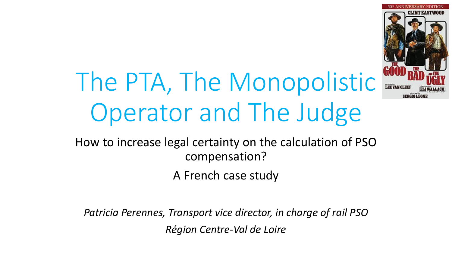

# The PTA, The Monopolistic Operator and The Judge

How to increase legal certainty on the calculation of PSO compensation?

A French case study

*Patricia Perennes, Transport vice director, in charge of rail PSO Région Centre-Val de Loire*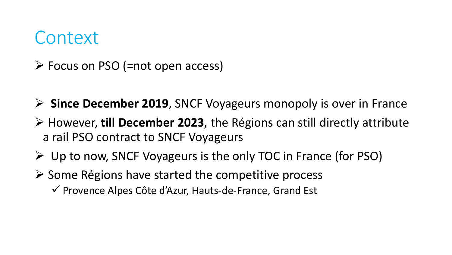#### Context

- $\triangleright$  Focus on PSO (=not open access)
- **Since December 2019**, SNCF Voyageurs monopoly is over in France
- However, **till December 2023**, the Régions can still directly attribute a rail PSO contract to SNCF Voyageurs
- $\triangleright$  Up to now, SNCF Voyageurs is the only TOC in France (for PSO)
- $\triangleright$  Some Régions have started the competitive process
	- $\checkmark$  Provence Alpes Côte d'Azur, Hauts-de-France, Grand Est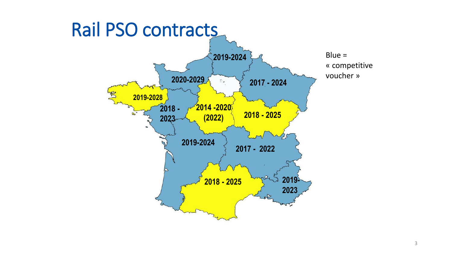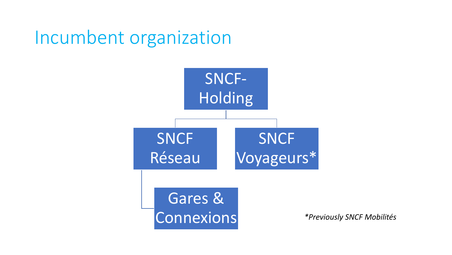### Incumbent organization

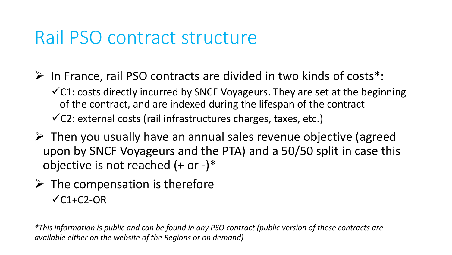### Rail PSO contract structure

- $\triangleright$  In France, rail PSO contracts are divided in two kinds of costs\*:
	- $\checkmark$ C1: costs directly incurred by SNCF Voyageurs. They are set at the beginning of the contract, and are indexed during the lifespan of the contract  $\checkmark$ C2: external costs (rail infrastructures charges, taxes, etc.)
- $\triangleright$  Then you usually have an annual sales revenue objective (agreed upon by SNCF Voyageurs and the PTA) and a 50/50 split in case this objective is not reached  $(+ or -)*$
- $\triangleright$  The compensation is therefore  $\checkmark$ C1+C2-OR

*\*This information is public and can be found in any PSO contract (public version of these contracts are available either on the website of the Regions or on demand)*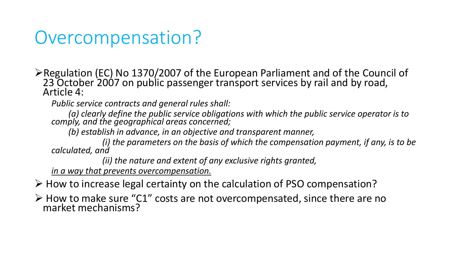## Overcompensation?

Regulation (EC) No 1370/2007 of the European Parliament and of the Council of 23 October 2007 on public passenger transport services by rail and by road, Article 4:

*Public service contracts and general rules shall:*

*(a) clearly define the public service obligations with which the public service operator is to comply, and the geographical areas concerned;*

*(b) establish in advance, in an objective and transparent manner,*

*(i) the parameters on the basis of which the compensation payment, if any, is to be calculated, and*

*(ii) the nature and extent of any exclusive rights granted,*

*in a way that prevents overcompensation.* 

 $\triangleright$  How to increase legal certainty on the calculation of PSO compensation?

 $\triangleright$  How to make sure "C1" costs are not overcompensated, since there are no market mechanisms?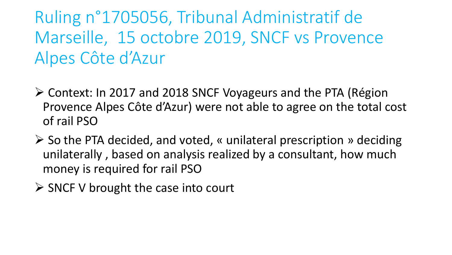Ruling n°1705056, Tribunal Administratif de Marseille, 15 octobre 2019, SNCF vs Provence Alpes Côte d'Azur

- Context: In 2017 and 2018 SNCF Voyageurs and the PTA (Région Provence Alpes Côte d'Azur) were not able to agree on the total cost of rail PSO
- $\triangleright$  So the PTA decided, and voted, « unilateral prescription » deciding unilaterally , based on analysis realized by a consultant, how much money is required for rail PSO
- $\triangleright$  SNCF V brought the case into court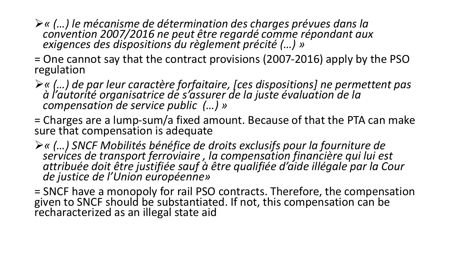- *« (…) le mécanisme de détermination des charges prévues dans la convention 2007/2016 ne peut être regardé comme répondant aux exigences des dispositions du règlement précité (…) »*
- = One cannot say that the contract provisions (2007-2016) apply by the PSO regulation
- *« (…) de par leur caractère forfaitaire, [ces dispositions] ne permettent pas à l'autorité organisatrice de s'assurer de la juste évaluation de la compensation de service public (…) »*
- = Charges are a lump-sum/a fixed amount. Because of that the PTA can make sure that compensation is adequate
- *« (…) SNCF Mobilités bénéfice de droits exclusifs pour la fourniture de services de transport ferroviaire , la compensation financière qui lui est attribuée doit être justifiée sauf à être qualifiée d'aide illégale par la Cour de justice de l'Union européenne»*
- = SNCF have a monopoly for rail PSO contracts. Therefore, the compensation given to SNCF should be substantiated. If not, this compensation can be recharacterized as an illegal state aid